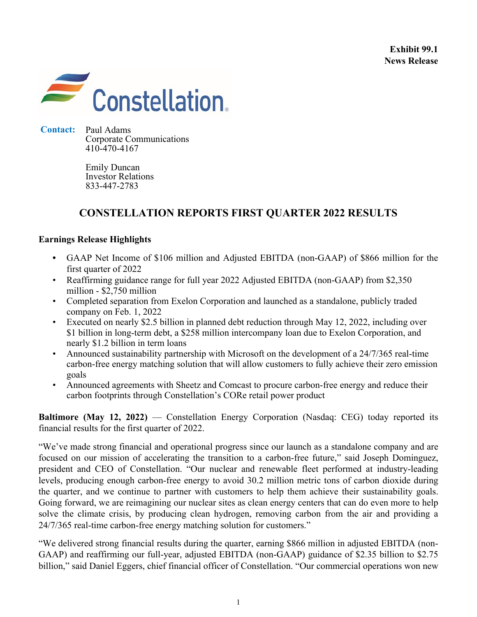

**Contact:** Paul Adams Corporate Communications 410-470-4167

> Emily Duncan Investor Relations 833-447-2783

# **CONSTELLATION REPORTS FIRST QUARTER 2022 RESULTS**

### **Earnings Release Highlights**

- **•** GAAP Net Income of \$106 million and Adjusted EBITDA (non-GAAP) of \$866 million for the first quarter of 2022
- Reaffirming guidance range for full year 2022 Adjusted EBITDA (non-GAAP) from \$2,350 million - \$2,750 million
- Completed separation from Exelon Corporation and launched as a standalone, publicly traded company on Feb. 1, 2022
- Executed on nearly \$2.5 billion in planned debt reduction through May 12, 2022, including over \$1 billion in long-term debt, a \$258 million intercompany loan due to Exelon Corporation, and nearly \$1.2 billion in term loans
- Announced sustainability partnership with Microsoft on the development of a 24/7/365 real-time carbon-free energy matching solution that will allow customers to fully achieve their zero emission goals
- Announced agreements with Sheetz and Comcast to procure carbon-free energy and reduce their carbon footprints through Constellation's CORe retail power product

**Baltimore (May 12, 2022)** — Constellation Energy Corporation (Nasdaq: CEG) today reported its financial results for the first quarter of 2022.

"We've made strong financial and operational progress since our launch as a standalone company and are focused on our mission of accelerating the transition to a carbon-free future," said Joseph Dominguez, president and CEO of Constellation. "Our nuclear and renewable fleet performed at industry-leading levels, producing enough carbon-free energy to avoid 30.2 million metric tons of carbon dioxide during the quarter, and we continue to partner with customers to help them achieve their sustainability goals. Going forward, we are reimagining our nuclear sites as clean energy centers that can do even more to help solve the climate crisis, by producing clean hydrogen, removing carbon from the air and providing a 24/7/365 real-time carbon-free energy matching solution for customers."

"We delivered strong financial results during the quarter, earning \$866 million in adjusted EBITDA (non-GAAP) and reaffirming our full-year, adjusted EBITDA (non-GAAP) guidance of \$2.35 billion to \$2.75 billion," said Daniel Eggers, chief financial officer of Constellation. "Our commercial operations won new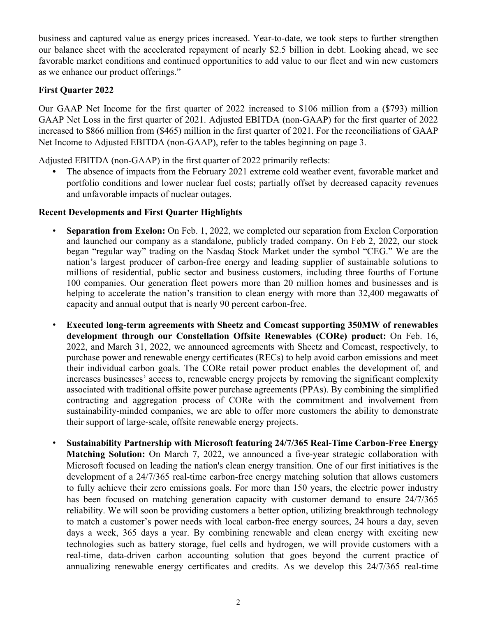business and captured value as energy prices increased. Year-to-date, we took steps to further strengthen our balance sheet with the accelerated repayment of nearly \$2.5 billion in debt. Looking ahead, we see favorable market conditions and continued opportunities to add value to our fleet and win new customers as we enhance our product offerings."

# **First Quarter 2022**

Our GAAP Net Income for the first quarter of 2022 increased to \$106 million from a (\$793) million GAAP Net Loss in the first quarter of 2021. Adjusted EBITDA (non-GAAP) for the first quarter of 2022 increased to \$866 million from (\$465) million in the first quarter of 2021. For the reconciliations of GAAP Net Income to Adjusted EBITDA (non-GAAP), refer to the tables beginning on page 3.

Adjusted EBITDA (non-GAAP) in the first quarter of 2022 primarily reflects:

**•** The absence of impacts from the February 2021 extreme cold weather event, favorable market and portfolio conditions and lower nuclear fuel costs; partially offset by decreased capacity revenues and unfavorable impacts of nuclear outages.

## **Recent Developments and First Quarter Highlights**

- **Separation from Exelon:** On Feb. 1, 2022, we completed our separation from Exelon Corporation and launched our company as a standalone, publicly traded company. On Feb 2, 2022, our stock began "regular way" trading on the Nasdaq Stock Market under the symbol "CEG." We are the nation's largest producer of carbon-free energy and leading supplier of sustainable solutions to millions of residential, public sector and business customers, including three fourths of Fortune 100 companies. Our generation fleet powers more than 20 million homes and businesses and is helping to accelerate the nation's transition to clean energy with more than 32,400 megawatts of capacity and annual output that is nearly 90 percent carbon-free.
- **Executed long-term agreements with Sheetz and Comcast supporting 350MW of renewables development through our Constellation Offsite Renewables (CORe) product:** On Feb. 16, 2022, and March 31, 2022, we announced agreements with Sheetz and Comcast, respectively, to purchase power and renewable energy certificates (RECs) to help avoid carbon emissions and meet their individual carbon goals. The CORe retail power product enables the development of, and increases businesses' access to, renewable energy projects by removing the significant complexity associated with traditional offsite power purchase agreements (PPAs). By combining the simplified contracting and aggregation process of CORe with the commitment and involvement from sustainability-minded companies, we are able to offer more customers the ability to demonstrate their support of large-scale, offsite renewable energy projects.
- **Sustainability Partnership with Microsoft featuring 24/7/365 Real-Time Carbon-Free Energy Matching Solution:** On March 7, 2022, we announced a five-year strategic collaboration with Microsoft focused on leading the nation's clean energy transition. One of our first initiatives is the development of a 24/7/365 real-time carbon-free energy matching solution that allows customers to fully achieve their zero emissions goals. For more than 150 years, the electric power industry has been focused on matching generation capacity with customer demand to ensure 24/7/365 reliability. We will soon be providing customers a better option, utilizing breakthrough technology to match a customer's power needs with local carbon-free energy sources, 24 hours a day, seven days a week, 365 days a year. By combining renewable and clean energy with exciting new technologies such as battery storage, fuel cells and hydrogen, we will provide customers with a real-time, data-driven carbon accounting solution that goes beyond the current practice of annualizing renewable energy certificates and credits. As we develop this 24/7/365 real-time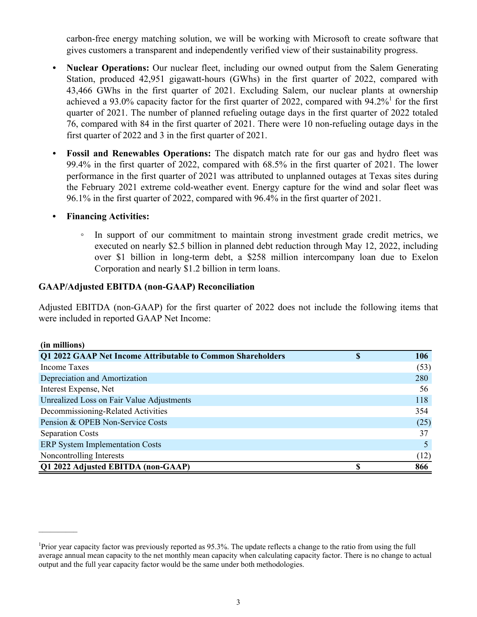carbon-free energy matching solution, we will be working with Microsoft to create software that gives customers a transparent and independently verified view of their sustainability progress.

- *•* **Nuclear Operations:** Our nuclear fleet, including our owned output from the Salem Generating Station, produced 42,951 gigawatt-hours (GWhs) in the first quarter of 2022, compared with 43,466 GWhs in the first quarter of 2021. Excluding Salem, our nuclear plants at ownership achieved a 93.0% capacity factor for the first quarter of 2022, compared with  $94.2\%$ <sup>1</sup> for the first quarter of 2021. The number of planned refueling outage days in the first quarter of 2022 totaled 76, compared with 84 in the first quarter of 2021. There were 10 non-refueling outage days in the first quarter of 2022 and 3 in the first quarter of 2021.
- *•* **Fossil and Renewables Operations:** The dispatch match rate for our gas and hydro fleet was 99.4% in the first quarter of 2022, compared with 68.5% in the first quarter of 2021. The lower performance in the first quarter of 2021 was attributed to unplanned outages at Texas sites during the February 2021 extreme cold-weather event. Energy capture for the wind and solar fleet was 96.1% in the first quarter of 2022, compared with 96.4% in the first quarter of 2021.

### **• Financing Activities:**

 $\mathcal{L}_\text{max}$ 

◦ In support of our commitment to maintain strong investment grade credit metrics, we executed on nearly \$2.5 billion in planned debt reduction through May 12, 2022, including over \$1 billion in long-term debt, a \$258 million intercompany loan due to Exelon Corporation and nearly \$1.2 billion in term loans.

### **GAAP/Adjusted EBITDA (non-GAAP) Reconciliation**

Adjusted EBITDA (non-GAAP) for the first quarter of 2022 does not include the following items that were included in reported GAAP Net Income:

| (in millions)                                               |           |
|-------------------------------------------------------------|-----------|
| Q1 2022 GAAP Net Income Attributable to Common Shareholders | \$<br>106 |
| Income Taxes                                                | (53)      |
| Depreciation and Amortization                               | 280       |
| Interest Expense, Net                                       | 56        |
| Unrealized Loss on Fair Value Adjustments                   | 118       |
| Decommissioning-Related Activities                          | 354       |
| Pension & OPEB Non-Service Costs                            | (25)      |
| <b>Separation Costs</b>                                     | 37        |
| <b>ERP System Implementation Costs</b>                      |           |
| Noncontrolling Interests                                    | (12)      |
| Q1 2022 Adjusted EBITDA (non-GAAP)                          | 866       |

<sup>&</sup>lt;sup>1</sup>Prior year capacity factor was previously reported as 95.3%. The update reflects a change to the ratio from using the full average annual mean capacity to the net monthly mean capacity when calculating capacity factor. There is no change to actual output and the full year capacity factor would be the same under both methodologies.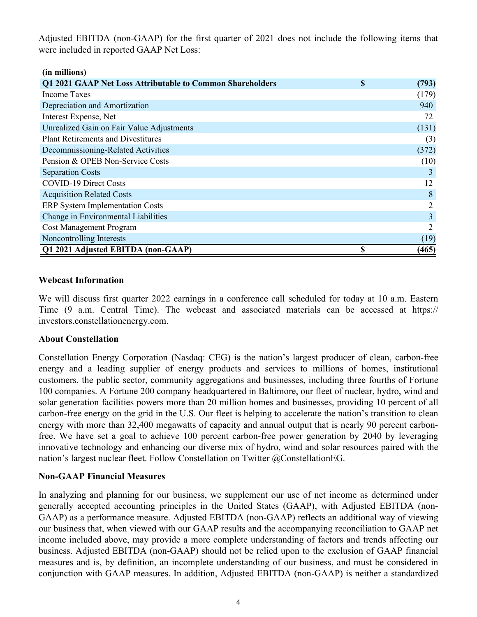Adjusted EBITDA (non-GAAP) for the first quarter of 2021 does not include the following items that were included in reported GAAP Net Loss:

| (in millions)                                             |    |                |
|-----------------------------------------------------------|----|----------------|
| Q1 2021 GAAP Net Loss Attributable to Common Shareholders | S  | (793)          |
| <b>Income Taxes</b>                                       |    | (179)          |
| Depreciation and Amortization                             |    | 940            |
| Interest Expense, Net                                     |    | 72             |
| Unrealized Gain on Fair Value Adjustments                 |    | (131)          |
| <b>Plant Retirements and Divestitures</b>                 |    | (3)            |
| Decommissioning-Related Activities                        |    | (372)          |
| Pension & OPEB Non-Service Costs                          |    | (10)           |
| <b>Separation Costs</b>                                   |    | 3              |
| <b>COVID-19 Direct Costs</b>                              |    | 12             |
| <b>Acquisition Related Costs</b>                          |    | 8              |
| <b>ERP</b> System Implementation Costs                    |    | 2              |
| Change in Environmental Liabilities                       |    | $\overline{3}$ |
| Cost Management Program                                   |    | 2              |
| Noncontrolling Interests                                  |    | (19)           |
| Q1 2021 Adjusted EBITDA (non-GAAP)                        | \$ | (465)          |

### **Webcast Information**

We will discuss first quarter 2022 earnings in a conference call scheduled for today at 10 a.m. Eastern Time (9 a.m. Central Time). The webcast and associated materials can be accessed at https:// investors.constellationenergy.com.

### **About Constellation**

Constellation Energy Corporation (Nasdaq: CEG) is the nation's largest producer of clean, carbon-free energy and a leading supplier of energy products and services to millions of homes, institutional customers, the public sector, community aggregations and businesses, including three fourths of Fortune 100 companies. A Fortune 200 company headquartered in Baltimore, our fleet of nuclear, hydro, wind and solar generation facilities powers more than 20 million homes and businesses, providing 10 percent of all carbon-free energy on the grid in the U.S. Our fleet is helping to accelerate the nation's transition to clean energy with more than 32,400 megawatts of capacity and annual output that is nearly 90 percent carbonfree. We have set a goal to achieve 100 percent carbon-free power generation by 2040 by leveraging innovative technology and enhancing our diverse mix of hydro, wind and solar resources paired with the nation's largest nuclear fleet. Follow Constellation on Twitter @ConstellationEG.

### **Non-GAAP Financial Measures**

In analyzing and planning for our business, we supplement our use of net income as determined under generally accepted accounting principles in the United States (GAAP), with Adjusted EBITDA (non-GAAP) as a performance measure. Adjusted EBITDA (non-GAAP) reflects an additional way of viewing our business that, when viewed with our GAAP results and the accompanying reconciliation to GAAP net income included above, may provide a more complete understanding of factors and trends affecting our business. Adjusted EBITDA (non-GAAP) should not be relied upon to the exclusion of GAAP financial measures and is, by definition, an incomplete understanding of our business, and must be considered in conjunction with GAAP measures. In addition, Adjusted EBITDA (non-GAAP) is neither a standardized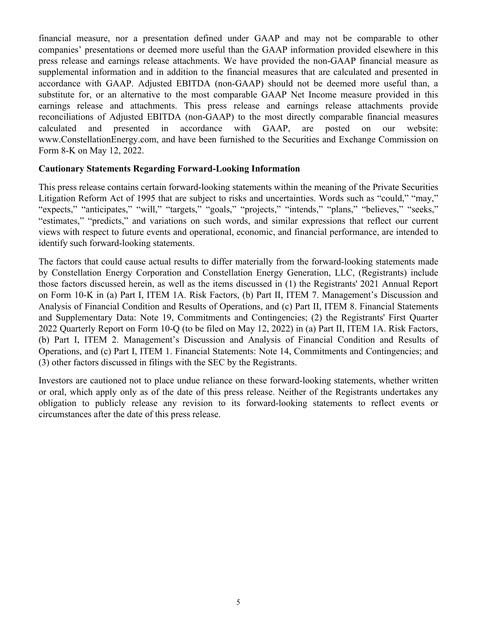financial measure, nor a presentation defined under GAAP and may not be comparable to other companies' presentations or deemed more useful than the GAAP information provided elsewhere in this press release and earnings release attachments. We have provided the non-GAAP financial measure as supplemental information and in addition to the financial measures that are calculated and presented in accordance with GAAP. Adjusted EBITDA (non-GAAP) should not be deemed more useful than, a substitute for, or an alternative to the most comparable GAAP Net Income measure provided in this earnings release and attachments. This press release and earnings release attachments provide reconciliations of Adjusted EBITDA (non-GAAP) to the most directly comparable financial measures calculated and presented in accordance with GAAP, are posted on our website: www.ConstellationEnergy.com, and have been furnished to the Securities and Exchange Commission on Form 8-K on May 12, 2022.

### **Cautionary Statements Regarding Forward-Looking Information**

This press release contains certain forward-looking statements within the meaning of the Private Securities Litigation Reform Act of 1995 that are subject to risks and uncertainties. Words such as "could," "may," "expects," "anticipates," "will," "targets," "goals," "projects," "intends," "plans," "believes," "seeks," "estimates," "predicts," and variations on such words, and similar expressions that reflect our current views with respect to future events and operational, economic, and financial performance, are intended to identify such forward-looking statements.

The factors that could cause actual results to differ materially from the forward-looking statements made by Constellation Energy Corporation and Constellation Energy Generation, LLC, (Registrants) include those factors discussed herein, as well as the items discussed in (1) the Registrants' 2021 Annual Report on Form 10-K in (a) Part I, ITEM 1A. Risk Factors, (b) Part II, ITEM 7. Management's Discussion and Analysis of Financial Condition and Results of Operations, and (c) Part II, ITEM 8. Financial Statements and Supplementary Data: Note 19, Commitments and Contingencies; (2) the Registrants' First Quarter 2022 Quarterly Report on Form 10-Q (to be filed on May 12, 2022) in (a) Part II, ITEM 1A. Risk Factors, (b) Part I, ITEM 2. Management's Discussion and Analysis of Financial Condition and Results of Operations, and (c) Part I, ITEM 1. Financial Statements: Note 14, Commitments and Contingencies; and (3) other factors discussed in filings with the SEC by the Registrants.

Investors are cautioned not to place undue reliance on these forward-looking statements, whether written or oral, which apply only as of the date of this press release. Neither of the Registrants undertakes any obligation to publicly release any revision to its forward-looking statements to reflect events or circumstances after the date of this press release.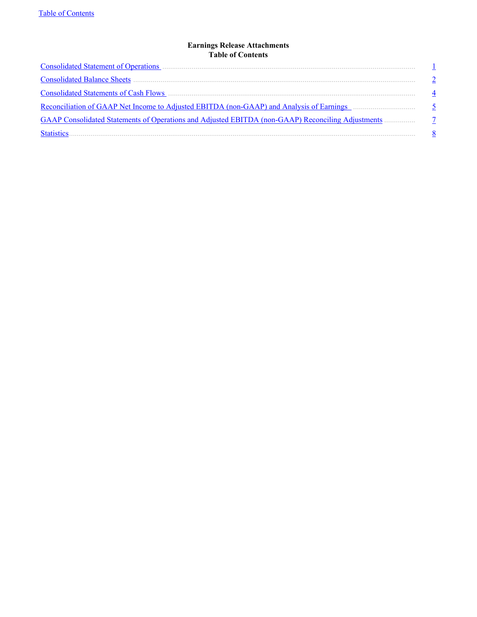#### **Earnings Release Attachments Table of Contents**

<span id="page-5-0"></span>

| <b>Consolidated Statement of Operations</b>                                                       |  |
|---------------------------------------------------------------------------------------------------|--|
| <b>Consolidated Balance Sheets</b>                                                                |  |
|                                                                                                   |  |
| Reconciliation of GAAP Net Income to Adjusted EBITDA (non-GAAP) and Analysis of Earnings          |  |
| GAAP Consolidated Statements of Operations and Adjusted EBITDA (non-GAAP) Reconciling Adjustments |  |
| <b>Statistics</b>                                                                                 |  |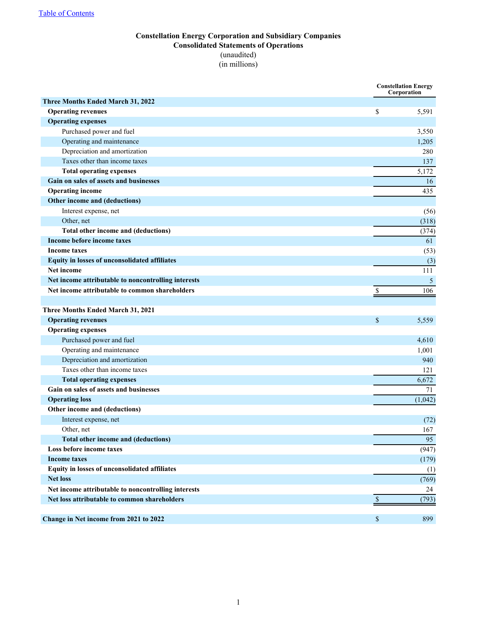#### **Constellation Energy Corporation and Subsidiary Companies Consolidated Statements of Operations** (unaudited) (in millions)

<span id="page-6-0"></span>

|                                                                |              | <b>Constellation Energy</b><br>Corporation |
|----------------------------------------------------------------|--------------|--------------------------------------------|
| <b>Three Months Ended March 31, 2022</b>                       |              |                                            |
| <b>Operating revenues</b>                                      | \$           | 5,591                                      |
| <b>Operating expenses</b>                                      |              |                                            |
| Purchased power and fuel                                       |              | 3,550                                      |
| Operating and maintenance                                      |              | 1,205                                      |
| Depreciation and amortization                                  |              | 280                                        |
| Taxes other than income taxes                                  |              | 137                                        |
| <b>Total operating expenses</b>                                |              | 5,172                                      |
| Gain on sales of assets and businesses                         |              | 16                                         |
| <b>Operating income</b>                                        |              | 435                                        |
| Other income and (deductions)                                  |              |                                            |
| Interest expense, net                                          |              | (56)                                       |
| Other, net                                                     |              | (318)                                      |
| Total other income and (deductions)                            |              | (374)                                      |
| Income before income taxes                                     |              | 61                                         |
| <b>Income taxes</b>                                            |              | (53)                                       |
| <b>Equity in losses of unconsolidated affiliates</b>           |              | (3)                                        |
| Net income                                                     |              | 111                                        |
| Net income attributable to noncontrolling interests            |              | 5                                          |
| Net income attributable to common shareholders                 | \$           | 106                                        |
| Three Months Ended March 31, 2021<br><b>Operating revenues</b> | $\mathbf S$  | 5,559                                      |
| <b>Operating expenses</b>                                      |              |                                            |
| Purchased power and fuel                                       |              | 4,610                                      |
| Operating and maintenance                                      |              | 1,001                                      |
| Depreciation and amortization                                  |              | 940                                        |
| Taxes other than income taxes                                  |              | 121                                        |
| <b>Total operating expenses</b>                                |              | 6,672                                      |
| Gain on sales of assets and businesses                         |              | 71                                         |
| <b>Operating loss</b>                                          |              | (1,042)                                    |
| Other income and (deductions)                                  |              |                                            |
| Interest expense, net                                          |              | (72)                                       |
| Other, net                                                     |              | 167                                        |
| Total other income and (deductions)                            |              | 95                                         |
| Loss before income taxes                                       |              | (947)                                      |
| <b>Income taxes</b>                                            |              | (179)                                      |
| Equity in losses of unconsolidated affiliates                  |              | (1)                                        |
| <b>Net loss</b>                                                |              | (769)                                      |
| Net income attributable to noncontrolling interests            |              | 24                                         |
| Net loss attributable to common shareholders                   | $\mathbb{S}$ | (793)                                      |
|                                                                |              |                                            |
| Change in Net income from 2021 to 2022                         | \$           | 899                                        |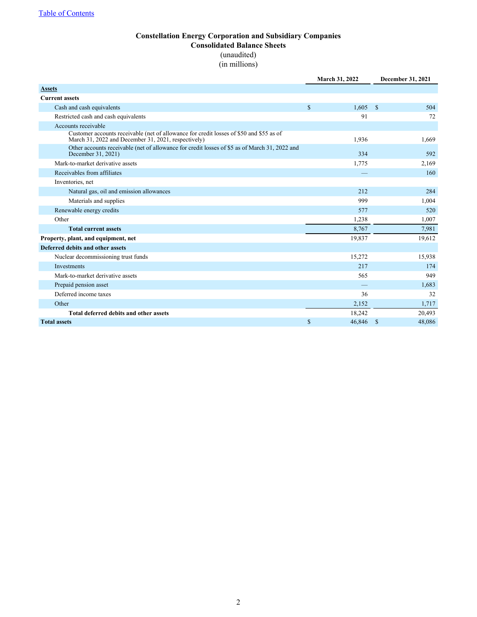#### **Constellation Energy Corporation and Subsidiary Companies Consolidated Balance Sheets** (unaudited) (in millions)

<span id="page-7-0"></span>

|                                                                                                                                                |             | March 31, 2022 |      | December 31, 2021 |
|------------------------------------------------------------------------------------------------------------------------------------------------|-------------|----------------|------|-------------------|
| <b>Assets</b>                                                                                                                                  |             |                |      |                   |
| <b>Current assets</b>                                                                                                                          |             |                |      |                   |
| Cash and cash equivalents                                                                                                                      | $\mathbf S$ | 1,605          | - \$ | 504               |
| Restricted cash and cash equivalents                                                                                                           |             | 91             |      | 72                |
| Accounts receivable                                                                                                                            |             |                |      |                   |
| Customer accounts receivable (net of allowance for credit losses of \$50 and \$55 as of<br>March 31, 2022 and December 31, 2021, respectively) |             | 1,936          |      | 1,669             |
| Other accounts receivable (net of allowance for credit losses of \$5 as of March 31, 2022 and<br>December 31, 2021)                            |             | 334            |      | 592               |
| Mark-to-market derivative assets                                                                                                               |             | 1,775          |      | 2,169             |
| Receivables from affiliates                                                                                                                    |             |                |      | 160               |
| Inventories, net                                                                                                                               |             |                |      |                   |
| Natural gas, oil and emission allowances                                                                                                       |             | 212            |      | 284               |
| Materials and supplies                                                                                                                         |             | 999            |      | 1,004             |
| Renewable energy credits                                                                                                                       |             | 577            |      | 520               |
| Other                                                                                                                                          |             | 1,238          |      | 1.007             |
| <b>Total current assets</b>                                                                                                                    |             | 8.767          |      | 7,981             |
| Property, plant, and equipment, net                                                                                                            |             | 19,837         |      | 19,612            |
| Deferred debits and other assets                                                                                                               |             |                |      |                   |
| Nuclear decommissioning trust funds                                                                                                            |             | 15,272         |      | 15,938            |
| Investments                                                                                                                                    |             | 217            |      | 174               |
| Mark-to-market derivative assets                                                                                                               |             | 565            |      | 949               |
| Prepaid pension asset                                                                                                                          |             |                |      | 1,683             |
| Deferred income taxes                                                                                                                          |             | 36             |      | 32                |
| Other                                                                                                                                          |             | 2,152          |      | 1,717             |
| Total deferred debits and other assets                                                                                                         |             | 18,242         |      | 20,493            |
| <b>Total assets</b>                                                                                                                            | \$          | 46,846         | \$   | 48,086            |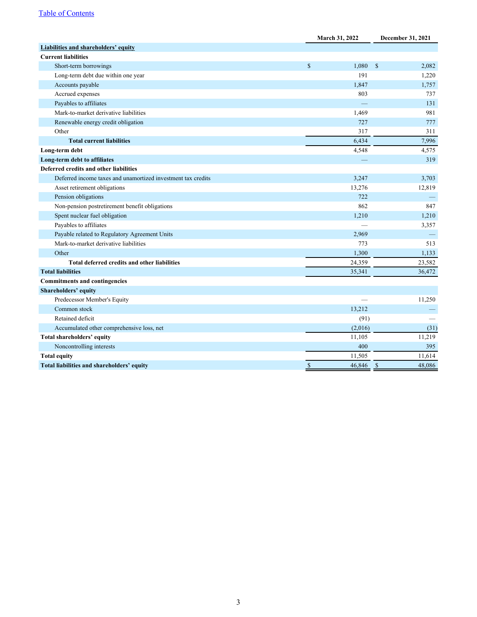#### [Table of Contents](#page-5-0)

|                                                              |             | March 31, 2022 |               | <b>December 31, 2021</b> |  |
|--------------------------------------------------------------|-------------|----------------|---------------|--------------------------|--|
| Liabilities and shareholders' equity                         |             |                |               |                          |  |
| <b>Current liabilities</b>                                   |             |                |               |                          |  |
| Short-term borrowings                                        | \$          | 1,080          | \$            | 2,082                    |  |
| Long-term debt due within one year                           |             | 191            |               | 1,220                    |  |
| Accounts payable                                             |             | 1,847          |               | 1,757                    |  |
| Accrued expenses                                             |             | 803            |               | 737                      |  |
| Payables to affiliates                                       |             |                |               | 131                      |  |
| Mark-to-market derivative liabilities                        |             | 1,469          |               | 981                      |  |
| Renewable energy credit obligation                           |             | 727            |               | 777                      |  |
| Other                                                        |             | 317            |               | 311                      |  |
| <b>Total current liabilities</b>                             |             | 6,434          |               | 7,996                    |  |
| Long-term debt                                               |             | 4,548          |               | 4,575                    |  |
| Long-term debt to affiliates                                 |             |                |               | 319                      |  |
| Deferred credits and other liabilities                       |             |                |               |                          |  |
| Deferred income taxes and unamortized investment tax credits |             | 3,247          |               | 3,703                    |  |
| Asset retirement obligations                                 |             | 13,276         |               | 12,819                   |  |
| Pension obligations                                          |             | 722            |               |                          |  |
| Non-pension postretirement benefit obligations               |             | 862            |               | 847                      |  |
| Spent nuclear fuel obligation                                |             | 1,210          |               | 1,210                    |  |
| Payables to affiliates                                       |             |                |               | 3,357                    |  |
| Payable related to Regulatory Agreement Units                |             | 2,969          |               |                          |  |
| Mark-to-market derivative liabilities                        |             | 773            |               | 513                      |  |
| Other                                                        |             | 1,300          |               | 1,133                    |  |
| Total deferred credits and other liabilities                 |             | 24,359         |               | 23,582                   |  |
| <b>Total liabilities</b>                                     |             | 35,341         |               | 36,472                   |  |
| <b>Commitments and contingencies</b>                         |             |                |               |                          |  |
| Shareholders' equity                                         |             |                |               |                          |  |
| Predecessor Member's Equity                                  |             |                |               | 11,250                   |  |
| Common stock                                                 |             | 13,212         |               |                          |  |
| Retained deficit                                             |             | (91)           |               |                          |  |
| Accumulated other comprehensive loss, net                    |             | (2,016)        |               | (31)                     |  |
| Total shareholders' equity                                   |             | 11,105         |               | 11,219                   |  |
| Noncontrolling interests                                     |             | 400            |               | 395                      |  |
| <b>Total equity</b>                                          |             | 11,505         |               | 11,614                   |  |
| Total liabilities and shareholders' equity                   | $\mathbf S$ | 46,846         | $\mathcal{S}$ | 48,086                   |  |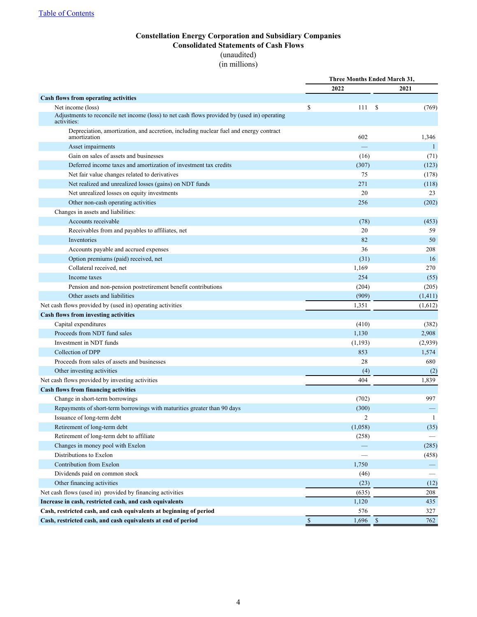#### **Constellation Energy Corporation and Subsidiary Companies Consolidated Statements of Cash Flows** (unaudited) (in millions)

<span id="page-9-0"></span>

|                                                                                                             | <b>Three Months Ended March 31,</b> |                          |                    |                          |
|-------------------------------------------------------------------------------------------------------------|-------------------------------------|--------------------------|--------------------|--------------------------|
|                                                                                                             |                                     | 2022                     |                    | 2021                     |
| Cash flows from operating activities                                                                        |                                     |                          |                    |                          |
| Net income (loss)                                                                                           | \$                                  | 111                      | \$                 | (769)                    |
| Adjustments to reconcile net income (loss) to net cash flows provided by (used in) operating<br>activities: |                                     |                          |                    |                          |
| Depreciation, amortization, and accretion, including nuclear fuel and energy contract<br>amortization       |                                     | 602                      |                    | 1,346                    |
| Asset impairments                                                                                           |                                     |                          |                    | 1                        |
| Gain on sales of assets and businesses                                                                      |                                     | (16)                     |                    | (71)                     |
| Deferred income taxes and amortization of investment tax credits                                            |                                     | (307)                    |                    | (123)                    |
| Net fair value changes related to derivatives                                                               |                                     | 75                       |                    | (178)                    |
| Net realized and unrealized losses (gains) on NDT funds                                                     |                                     | 271                      |                    | (118)                    |
| Net unrealized losses on equity investments                                                                 |                                     | 20                       |                    | 23                       |
| Other non-cash operating activities                                                                         |                                     | 256                      |                    | (202)                    |
| Changes in assets and liabilities:                                                                          |                                     |                          |                    |                          |
| Accounts receivable                                                                                         |                                     | (78)                     |                    | (453)                    |
| Receivables from and payables to affiliates, net                                                            |                                     | 20                       |                    | 59                       |
| Inventories                                                                                                 |                                     | 82                       |                    | 50                       |
| Accounts payable and accrued expenses                                                                       |                                     | 36                       |                    | 208                      |
| Option premiums (paid) received, net                                                                        |                                     | (31)                     |                    | 16                       |
| Collateral received, net                                                                                    |                                     | 1,169                    |                    | 270                      |
| Income taxes                                                                                                |                                     | 254                      |                    | (55)                     |
| Pension and non-pension postretirement benefit contributions                                                |                                     | (204)                    |                    | (205)                    |
| Other assets and liabilities                                                                                |                                     | (909)                    |                    | (1, 411)                 |
| Net cash flows provided by (used in) operating activities                                                   |                                     | 1,351                    |                    | (1,612)                  |
| Cash flows from investing activities                                                                        |                                     |                          |                    |                          |
| Capital expenditures                                                                                        |                                     | (410)                    |                    | (382)                    |
| Proceeds from NDT fund sales                                                                                |                                     | 1,130                    |                    | 2,908                    |
| Investment in NDT funds                                                                                     |                                     | (1,193)                  |                    | (2,939)                  |
| Collection of DPP                                                                                           |                                     | 853                      |                    | 1,574                    |
| Proceeds from sales of assets and businesses                                                                |                                     | 28                       |                    | 680                      |
| Other investing activities                                                                                  |                                     | (4)                      |                    | (2)                      |
| Net cash flows provided by investing activities                                                             |                                     | 404                      |                    | 1,839                    |
| Cash flows from financing activities                                                                        |                                     |                          |                    |                          |
| Change in short-term borrowings                                                                             |                                     | (702)                    |                    | 997                      |
| Repayments of short-term borrowings with maturities greater than 90 days                                    |                                     | (300)                    |                    |                          |
| Issuance of long-term debt                                                                                  |                                     | $\overline{c}$           |                    | 1                        |
| Retirement of long-term debt                                                                                |                                     | (1,058)                  |                    | (35)                     |
| Retirement of long-term debt to affiliate                                                                   |                                     | (258)                    |                    |                          |
| Changes in money pool with Exelon                                                                           |                                     | $\overline{\phantom{0}}$ |                    | (285)                    |
| Distributions to Exelon                                                                                     |                                     | $\overline{\phantom{0}}$ |                    | (458)                    |
| Contribution from Exelon                                                                                    |                                     | 1,750                    |                    | $\overline{\phantom{0}}$ |
| Dividends paid on common stock                                                                              |                                     | (46)                     |                    |                          |
| Other financing activities                                                                                  |                                     | (23)                     |                    | (12)                     |
| Net cash flows (used in) provided by financing activities                                                   |                                     | (635)                    |                    | 208                      |
| Increase in cash, restricted cash, and cash equivalents                                                     |                                     | 1,120                    |                    | 435                      |
| Cash, restricted cash, and cash equivalents at beginning of period                                          |                                     | 576                      |                    | 327                      |
| Cash, restricted cash, and cash equivalents at end of period                                                | $\mathbb{S}$                        | 1,696                    | $\mathbf{\hat{s}}$ | 762                      |
|                                                                                                             |                                     |                          |                    |                          |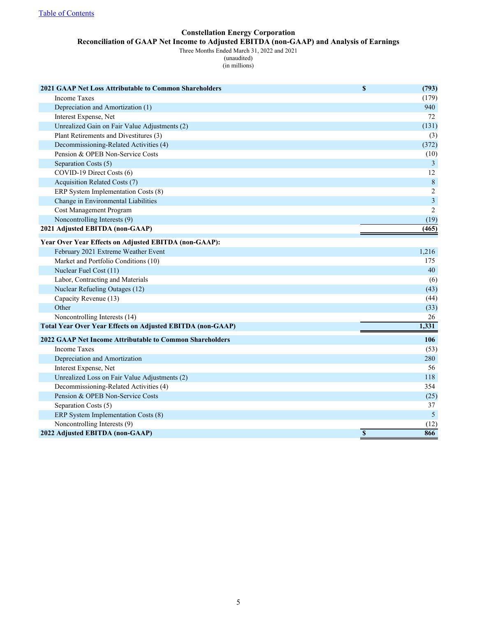<span id="page-10-0"></span>[Table of Contents](#page-5-0)

### **Constellation Energy Corporation**

**Reconciliation of GAAP Net Income to Adjusted EBITDA (non-GAAP) and Analysis of Earnings**

Three Months Ended March 31, 2022 and 2021

(unaudited) (in millions)

| <b>2021 GAAP Net Loss Attributable to Common Shareholders</b>     | $\mathbf S$               | (793)          |
|-------------------------------------------------------------------|---------------------------|----------------|
| <b>Income Taxes</b>                                               |                           | (179)          |
| Depreciation and Amortization (1)                                 |                           | 940            |
| Interest Expense, Net                                             |                           | 72             |
| Unrealized Gain on Fair Value Adjustments (2)                     |                           | (131)          |
| Plant Retirements and Divestitures (3)                            |                           | (3)            |
| Decommissioning-Related Activities (4)                            |                           | (372)          |
| Pension & OPEB Non-Service Costs                                  |                           | (10)           |
| Separation Costs (5)                                              |                           | $\overline{3}$ |
| COVID-19 Direct Costs (6)                                         |                           | 12             |
| <b>Acquisition Related Costs (7)</b>                              |                           | $\,8\,$        |
| ERP System Implementation Costs (8)                               |                           | 2              |
| Change in Environmental Liabilities                               |                           | $\mathfrak{Z}$ |
| Cost Management Program                                           |                           | 2              |
| Noncontrolling Interests (9)                                      |                           | (19)           |
| 2021 Adjusted EBITDA (non-GAAP)                                   |                           | (465)          |
| Year Over Year Effects on Adjusted EBITDA (non-GAAP):             |                           |                |
| February 2021 Extreme Weather Event                               |                           | 1,216          |
| Market and Portfolio Conditions (10)                              |                           | 175            |
| Nuclear Fuel Cost (11)                                            |                           | 40             |
| Labor, Contracting and Materials                                  |                           | (6)            |
| Nuclear Refueling Outages (12)                                    |                           | (43)           |
| Capacity Revenue (13)                                             |                           | (44)           |
| Other                                                             |                           | (33)           |
| Noncontrolling Interests (14)                                     |                           | 26             |
| <b>Total Year Over Year Effects on Adjusted EBITDA (non-GAAP)</b> |                           | 1,331          |
| 2022 GAAP Net Income Attributable to Common Shareholders          |                           | 106            |
| <b>Income Taxes</b>                                               |                           | (53)           |
| Depreciation and Amortization                                     |                           | 280            |
| Interest Expense, Net                                             |                           | 56             |
| Unrealized Loss on Fair Value Adjustments (2)                     |                           | 118            |
| Decommissioning-Related Activities (4)                            |                           | 354            |
| Pension & OPEB Non-Service Costs                                  |                           | (25)           |
| Separation Costs (5)                                              |                           | 37             |
| ERP System Implementation Costs (8)                               |                           | 5              |
| Noncontrolling Interests (9)                                      |                           | (12)           |
| 2022 Adjusted EBITDA (non-GAAP)                                   | $\boldsymbol{\mathsf{s}}$ | 866            |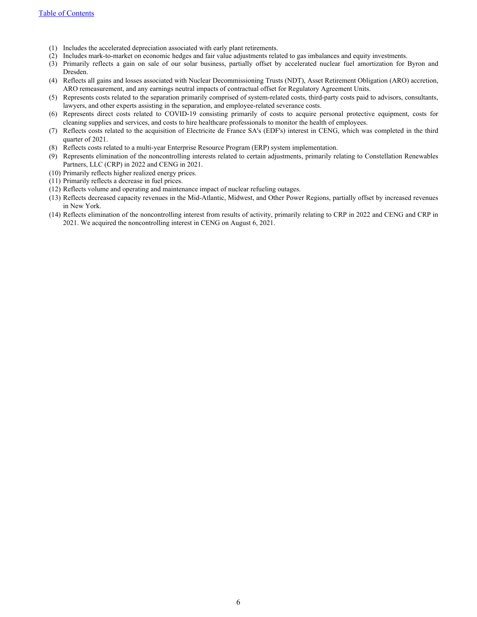- (1) Includes the accelerated depreciation associated with early plant retirements.
- (2) Includes mark-to-market on economic hedges and fair value adjustments related to gas imbalances and equity investments.
- (3) Primarily reflects a gain on sale of our solar business, partially offset by accelerated nuclear fuel amortization for Byron and Dresden.
- (4) Reflects all gains and losses associated with Nuclear Decommissioning Trusts (NDT), Asset Retirement Obligation (ARO) accretion, ARO remeasurement, and any earnings neutral impacts of contractual offset for Regulatory Agreement Units.
- (5) Represents costs related to the separation primarily comprised of system-related costs, third-party costs paid to advisors, consultants, lawyers, and other experts assisting in the separation, and employee-related severance costs.
- (6) Represents direct costs related to COVID-19 consisting primarily of costs to acquire personal protective equipment, costs for cleaning supplies and services, and costs to hire healthcare professionals to monitor the health of employees.
- (7) Reflects costs related to the acquisition of Electricite de France SA's (EDF's) interest in CENG, which was completed in the third quarter of 2021.
- (8) Reflects costs related to a multi-year Enterprise Resource Program (ERP) system implementation.
- (9) Represents elimination of the noncontrolling interests related to certain adjustments, primarily relating to Constellation Renewables Partners, LLC (CRP) in 2022 and CENG in 2021.
- (10) Primarily reflects higher realized energy prices.
- (11) Primarily reflects a decrease in fuel prices.
- (12) Reflects volume and operating and maintenance impact of nuclear refueling outages.
- (13) Reflects decreased capacity revenues in the Mid-Atlantic, Midwest, and Other Power Regions, partially offset by increased revenues in New York.
- (14) Reflects elimination of the noncontrolling interest from results of activity, primarily relating to CRP in 2022 and CENG and CRP in 2021. We acquired the noncontrolling interest in CENG on August 6, 2021.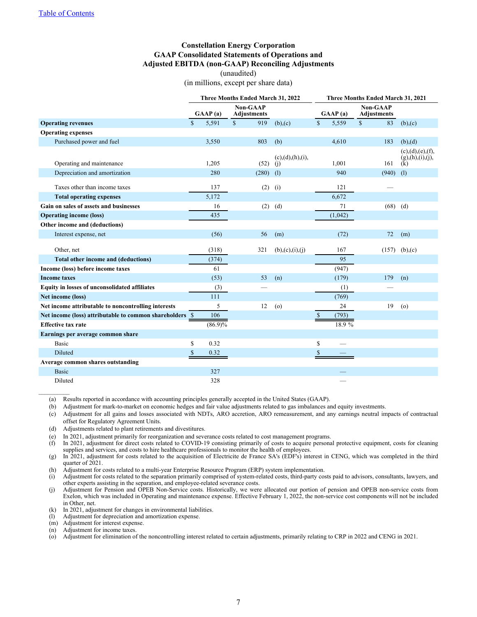#### **Constellation Energy Corporation GAAP Consolidated Statements of Operations and Adjusted EBITDA (non-GAAP) Reconciling Adjustments** (unaudited)

(in millions, except per share data)

<span id="page-12-0"></span>

|                                                          | <b>Three Months Ended March 31, 2022</b><br>Three Months Ended March 31, 2021 |            |                                       |                            |               |         |                                |       |                                             |
|----------------------------------------------------------|-------------------------------------------------------------------------------|------------|---------------------------------------|----------------------------|---------------|---------|--------------------------------|-------|---------------------------------------------|
|                                                          |                                                                               | GMAP(a)    | <b>Non-GAAP</b><br><b>Adjustments</b> |                            |               | GAAP(a) | Non-GAAP<br><b>Adjustments</b> |       |                                             |
| <b>Operating revenues</b>                                | $\mathbf S$                                                                   | 5,591      | $\mathbb{S}$<br>919                   | (b),(c)                    | $\mathbf S$   | 5,559   | $\mathbb{S}$                   | 83    | (b),(c)                                     |
| <b>Operating expenses</b>                                |                                                                               |            |                                       |                            |               |         |                                |       |                                             |
| Purchased power and fuel                                 |                                                                               | 3,550      | 803                                   | (b)                        |               | 4,610   |                                | 183   | (b),(d)                                     |
| Operating and maintenance                                |                                                                               | 1,205      | (52)                                  | (c), (d), (h), (i),<br>(i) |               | 1,001   |                                | 161   | (c),(d),(e),(f),<br>(g),(h),(i),(j),<br>(k) |
| Depreciation and amortization                            |                                                                               | 280        | (280)                                 | (1)                        |               | 940     |                                | (940) | (1)                                         |
| Taxes other than income taxes                            |                                                                               | 137        | (2)                                   | (i)                        |               | 121     |                                |       |                                             |
| <b>Total operating expenses</b>                          |                                                                               | 5,172      |                                       |                            |               | 6,672   |                                |       |                                             |
| Gain on sales of assets and businesses                   |                                                                               | 16         | (2)                                   | (d)                        |               | 71      |                                | (68)  | (d)                                         |
| <b>Operating income (loss)</b>                           |                                                                               | 435        |                                       |                            |               | (1,042) |                                |       |                                             |
| Other income and (deductions)                            |                                                                               |            |                                       |                            |               |         |                                |       |                                             |
| Interest expense, net                                    |                                                                               | (56)       | 56                                    | (m)                        |               | (72)    |                                | 72    | (m)                                         |
| Other, net                                               |                                                                               | (318)      | 321                                   | (b), (c), (i), (j)         |               | 167     |                                | (157) | (b),(c)                                     |
| Total other income and (deductions)                      |                                                                               | (374)      |                                       |                            |               | 95      |                                |       |                                             |
| Income (loss) before income taxes                        |                                                                               | 61         |                                       |                            |               | (947)   |                                |       |                                             |
| <b>Income taxes</b>                                      |                                                                               | (53)       | 53                                    | (n)                        |               | (179)   |                                | 179   | (n)                                         |
| Equity in losses of unconsolidated affiliates            |                                                                               | (3)        |                                       |                            |               | (1)     |                                |       |                                             |
| Net income (loss)                                        |                                                                               | 111        |                                       |                            |               | (769)   |                                |       |                                             |
| Net income attributable to noncontrolling interests      |                                                                               | 5          | 12                                    | (o)                        |               | 24      |                                | 19    | $\circ$                                     |
| Net income (loss) attributable to common shareholders \$ |                                                                               | 106        |                                       |                            | $\mathbb{S}$  | (793)   |                                |       |                                             |
| <b>Effective tax rate</b>                                |                                                                               | $(86.9)\%$ |                                       |                            |               | 18.9%   |                                |       |                                             |
| Earnings per average common share                        |                                                                               |            |                                       |                            |               |         |                                |       |                                             |
| Basic                                                    | S                                                                             | 0.32       |                                       |                            | S             |         |                                |       |                                             |
| Diluted                                                  | $\mathbb{S}$                                                                  | 0.32       |                                       |                            | <sup>\$</sup> |         |                                |       |                                             |
| Average common shares outstanding                        |                                                                               |            |                                       |                            |               |         |                                |       |                                             |
| <b>Basic</b>                                             |                                                                               | 327        |                                       |                            |               |         |                                |       |                                             |
| Diluted                                                  |                                                                               | 328        |                                       |                            |               |         |                                |       |                                             |

(a) Results reported in accordance with accounting principles generally accepted in the United States (GAAP).

(b) Adjustment for mark-to-market on economic hedges and fair value adjustments related to gas imbalances and equity investments.

(c) Adjustment for all gains and losses associated with NDTs, ARO accretion, ARO remeasurement, and any earnings neutral impacts of contractual offset for Regulatory Agreement Units.

(d) Adjustments related to plant retirements and divestitures.

(e) In 2021, adjustment primarily for reorganization and severance costs related to cost management programs.

(f) In 2021, adjustment for direct costs related to COVID-19 consisting primarily of costs to acquire personal protective equipment, costs for cleaning supplies and services, and costs to hire healthcare professionals to monitor the health of employees.

(g) In 2021, adjustment for costs related to the acquisition of Electricite de France SA's (EDF's) interest in CENG, which was completed in the third quarter of 2021.

(h) Adjustment for costs related to a multi-year Enterprise Resource Program (ERP) system implementation.

(i) Adjustment for costs related to the separation primarily comprised of system-related costs, third-party costs paid to advisors, consultants, lawyers, and other experts assisting in the separation, and employee-related severance costs.

(j) Adjustment for Pension and OPEB Non-Service costs. Historically, we were allocated our portion of pension and OPEB non-service costs from Exelon, which was included in Operating and maintenance expense. Effective February 1, 2022, the non-service cost components will not be included in Other, net.

(k) In 2021, adjustment for changes in environmental liabilities.<br>(l) Adjustment for depreciation and amortization expense.

Adjustment for depreciation and amortization expense.

(m) Adjustment for interest expense.

(n) Adjustment for income taxes.

(o) Adjustment for elimination of the noncontrolling interest related to certain adjustments, primarily relating to CRP in 2022 and CENG in 2021.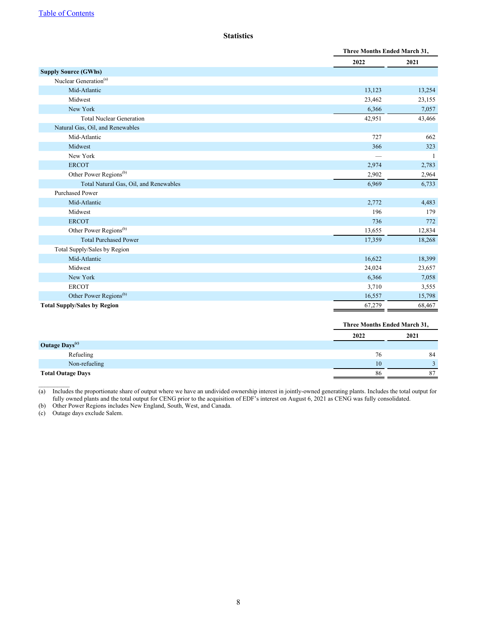<span id="page-13-0"></span>

| <b>Three Months Ended March 31,</b> |                                     |  |
|-------------------------------------|-------------------------------------|--|
| 2022                                | 2021                                |  |
|                                     |                                     |  |
|                                     |                                     |  |
| 13,123                              | 13,254                              |  |
| 23,462                              | 23,155                              |  |
| 6,366                               | 7,057                               |  |
| 42,951                              | 43,466                              |  |
|                                     |                                     |  |
| 727                                 | 662                                 |  |
| 366                                 | 323                                 |  |
| $\overline{\phantom{m}}$            | $\mathbf{1}$                        |  |
| 2,974                               | 2,783                               |  |
| 2,902                               | 2,964                               |  |
| 6,969                               | 6,733                               |  |
|                                     |                                     |  |
| 2,772                               | 4,483                               |  |
| 196                                 | 179                                 |  |
| 736                                 | 772                                 |  |
| 13,655                              | 12,834                              |  |
| 17,359                              | 18,268                              |  |
|                                     |                                     |  |
| 16,622                              | 18,399                              |  |
| 24,024                              | 23,657                              |  |
| 6,366                               | 7,058                               |  |
| 3,710                               | 3,555                               |  |
| 16,557                              | 15,798                              |  |
| 67,279                              | 68,467                              |  |
|                                     |                                     |  |
| 2022                                | 2021                                |  |
|                                     | <b>Three Months Ended March 31,</b> |  |

| Non-refueling                                                                                                                                                     |  |
|-------------------------------------------------------------------------------------------------------------------------------------------------------------------|--|
| <b>Total Outage Days</b>                                                                                                                                          |  |
|                                                                                                                                                                   |  |
| (a)<br>Includes the proportionate share of output where we have an undivided ownership interest in jointly-owned generating plants. Includes the total output for |  |

Refueling 2008 2012 12:00 12:00 12:00 12:00 12:00 12:00 12:00 12:00 12:00 12:00 12:00 12:00 12:00 12:00 12:00 12:00 12:00 12:00 12:00 12:00 12:00 12:00 12:00 12:00 12:00 12:00 12:00 12:00 12:00 12:00 12:00 12:00 12:00 12:0

(a) Includes the proportionate share of output where we have an undivided ownership interest in jointly-owned generating plants. Includes the total output for fully owned plants and the total output for CENG prior to the acquisition of EDF's interest on August 6, 2021 as CENG was fully consolidated. (b) Other Power Regions includes New England, South, West, and Canada.

(c) Outage days exclude Salem.